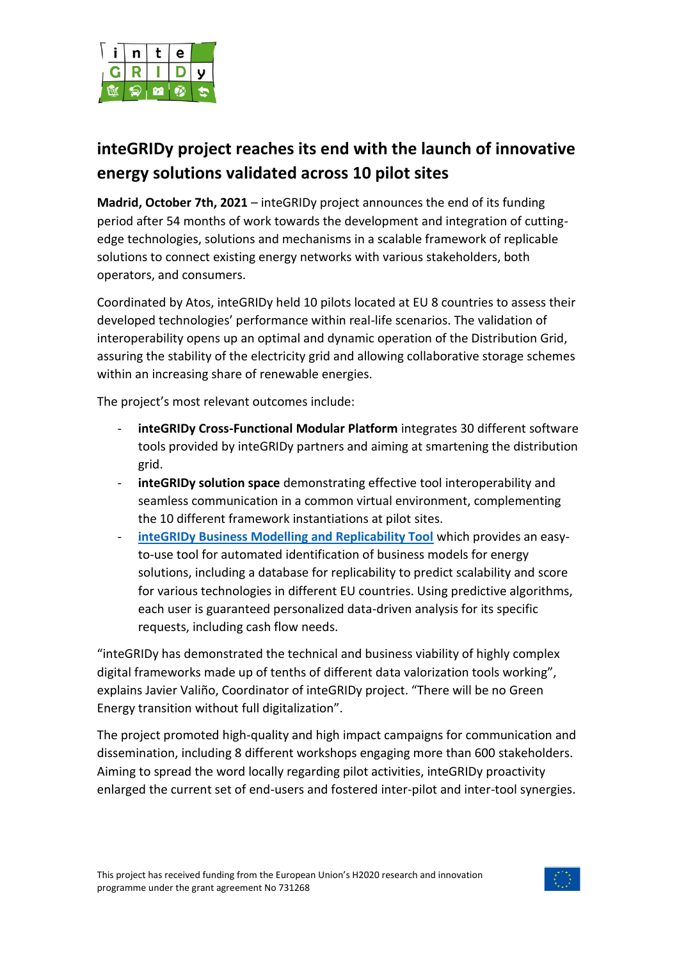

## **inteGRIDy project reaches its end with the launch of innovative energy solutions validated across 10 pilot sites**

**Madrid, October 7th, 2021** – inteGRIDy project announces the end of its funding period after 54 months of work towards the development and integration of cuttingedge technologies, solutions and mechanisms in a scalable framework of replicable solutions to connect existing energy networks with various stakeholders, both operators, and consumers.

Coordinated by Atos, inteGRIDy held 10 pilots located at EU 8 countries to assess their developed technologies' performance within real-life scenarios. The validation of interoperability opens up an optimal and dynamic operation of the Distribution Grid, assuring the stability of the electricity grid and allowing collaborative storage schemes within an increasing share of renewable energies.

The project's most relevant outcomes include:

- inteGRIDy Cross-Functional Modular Platform integrates 30 different software tools provided by inteGRIDy partners and aiming at smartening the distribution grid.
- **inteGRIDy solution space** demonstrating effective tool interoperability and seamless communication in a common virtual environment, complementing the 10 different framework instantiations at pilot sites.
- **[inteGRIDy Business Modelling and Replicability Tool](https://energy.venturely.io/)** which provides an easyto-use tool for automated identification of business models for energy solutions, including a database for replicability to predict scalability and score for various technologies in different EU countries. Using predictive algorithms, each user is guaranteed personalized data-driven analysis for its specific requests, including cash flow needs.

"inteGRIDy has demonstrated the technical and business viability of highly complex digital frameworks made up of tenths of different data valorization tools working", explains Javier Valiño, Coordinator of inteGRIDy project. "There will be no Green Energy transition without full digitalization".

The project promoted high-quality and high impact campaigns for communication and dissemination, including 8 different workshops engaging more than 600 stakeholders. Aiming to spread the word locally regarding pilot activities, inteGRIDy proactivity enlarged the current set of end-users and fostered inter-pilot and inter-tool synergies.